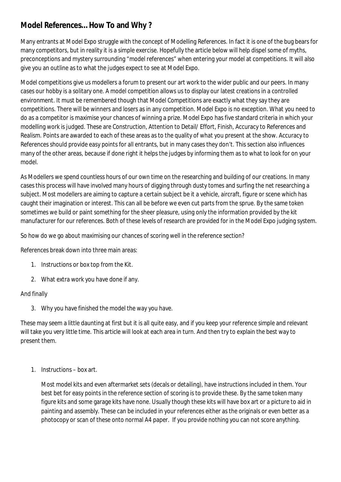## **Model References… How To and Why ?**

Many entrants at Model Expo struggle with the concept of Modelling References. In fact it is one of the bug bears for many competitors, but in reality it is a simple exercise. Hopefully the article below will help dispel some of myths, preconceptions and mystery surrounding "model references" when entering your model at competitions. It will also give you an outline as to what the judges expect to see at Model Expo.

Model competitions give us modellers a forum to present our art work to the wider public and our peers. In many cases our hobby is a solitary one. A model competition allows us to display our latest creations in a controlled environment. It must be remembered though that Model Competitions are exactly what they say they are competitions. There will be winners and losers as in any competition. Model Expo is no exception. What you need to do as a competitor is maximise your chances of winning a prize. Model Expo has five standard criteria in which your modelling work is judged. These are Construction, Attention to Detail/ Effort, Finish, Accuracy to References and Realism. Points are awarded to each of these areas as to the quality of what you present at the show. Accuracy to References should provide easy points for all entrants, but in many cases they don't. This section also influences many of the other areas, because if done right it helps the judges by informing them as to what to look for on your model.

As Modellers we spend countless hours of our own time on the researching and building of our creations. In many cases this process will have involved many hours of digging through dusty tomes and surfing the net researching a subject. Most modellers are aiming to capture a certain subject be it a vehicle, aircraft, figure or scene which has caught their imagination or interest. This can all be before we even cut parts from the sprue. By the same token sometimes we build or paint something for the sheer pleasure, using only the information provided by the kit manufacturer for our references. Both of these levels of research are provided for in the Model Expo judging system.

So how do we go about maximising our chances of scoring well in the reference section?

References break down into three main areas:

- 1. Instructions or box top from the Kit.
- 2. What extra work you have done if any.

## And finally

3. Why you have finished the model the way you have.

These may seem a little daunting at first but it is all quite easy, and if you keep your reference simple and relevant will take you very little time. This article will look at each area in turn. And then try to explain the best way to present them.

1. Instructions – box art.

Most model kits and even aftermarket sets (decals or detailing), have instructions included in them. Your best bet for easy points in the reference section of scoring is to provide these. By the same token many figure kits and some garage kits have none. Usually though these kits will have box art or a picture to aid in painting and assembly. These can be included in your references either as the originals or even better as a photocopy or scan of these onto normal A4 paper. If you provide nothing you can not score anything.